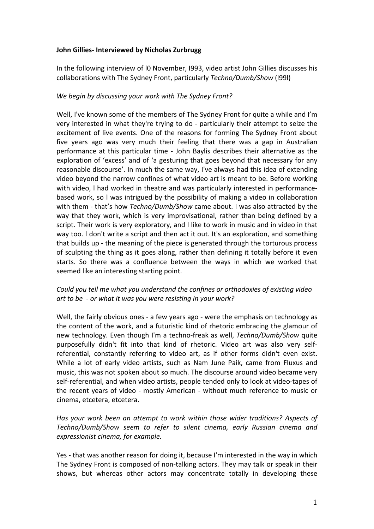## **John Gillies- Interviewed by Nicholas Zurbrugg**

In the following interview of 10 November, 1993, video artist John Gillies discusses his collaborations with The Sydney Front, particularly *Techno/Dumb/Show* (1991)

## We begin by discussing your work with The Sydney Front?

Well, I've known some of the members of The Sydney Front for quite a while and I'm very interested in what they're trying to do - particularly their attempt to seize the excitement of live events. One of the reasons for forming The Sydney Front about five years ago was very much their feeling that there was a gap in Australian performance at this particular time - John Baylis describes their alternative as the exploration of 'excess' and of 'a gesturing that goes beyond that necessary for any reasonable discourse'. In much the same way, I've always had this idea of extending video beyond the narrow confines of what video art is meant to be. Before working with video, I had worked in theatre and was particularly interested in performancebased work, so I was intrigued by the possibility of making a video in collaboration with them - that's how *Techno/Dumb/Show* came about. I was also attracted by the way that they work, which is very improvisational, rather than being defined by a script. Their work is very exploratory, and I like to work in music and in video in that way too. I don't write a script and then act it out. It's an exploration, and something that builds up - the meaning of the piece is generated through the torturous process of sculpting the thing as it goes along, rather than defining it totally before it even starts. So there was a confluence between the ways in which we worked that seemed like an interesting starting point.

# *Could you tell me what you understand the confines or orthodoxies of existing video* art to be - or what it was you were resisting in your work?

Well, the fairly obvious ones - a few years ago - were the emphasis on technology as the content of the work, and a futuristic kind of rhetoric embracing the glamour of new technology. Even though I'm a techno-freak as well, *Techno/Dumb/Show* quite purposefully didn't fit into that kind of rhetoric. Video art was also very selfreferential, constantly referring to video art, as if other forms didn't even exist. While a lot of early video artists, such as Nam June Paik, came from Fluxus and music, this was not spoken about so much. The discourse around video became very self-referential, and when video artists, people tended only to look at video-tapes of the recent years of video - mostly American - without much reference to music or cinema, etcetera, etcetera.

*Has* your work been an attempt to work within those wider traditions? Aspects of *Techno/Dumb/Show seem to refer to silent cinema, early Russian cinema and expressionist cinema, for example.*

Yes - that was another reason for doing it, because I'm interested in the way in which The Sydney Front is composed of non-talking actors. They may talk or speak in their shows, but whereas other actors may concentrate totally in developing these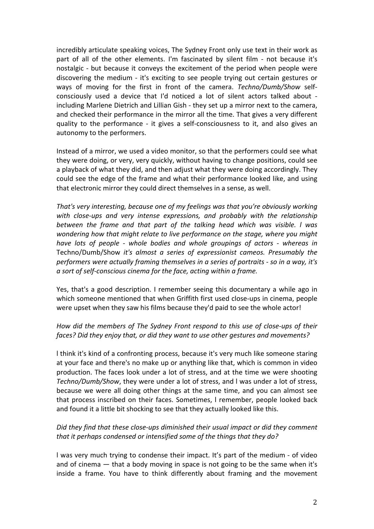incredibly articulate speaking voices, The Sydney Front only use text in their work as part of all of the other elements. I'm fascinated by silent film - not because it's nostalgic - but because it conveys the excitement of the period when people were discovering the medium - it's exciting to see people trying out certain gestures or ways of moving for the first in front of the camera. *Techno/Dumb/Show* selfconsciously used a device that I'd noticed a lot of silent actors talked about including Marlene Dietrich and Lillian Gish - they set up a mirror next to the camera, and checked their performance in the mirror all the time. That gives a very different quality to the performance - it gives a self-consciousness to it, and also gives an autonomy to the performers.

Instead of a mirror, we used a video monitor, so that the performers could see what they were doing, or very, very quickly, without having to change positions, could see a playback of what they did, and then adjust what they were doing accordingly. They could see the edge of the frame and what their performance looked like, and using that electronic mirror they could direct themselves in a sense, as well.

That's very interesting, because one of my feelings was that you're obviously working with close-ups and very intense expressions, and probably with the relationship *between the frame and that part of the talking head which was visible. I was wondering how that might relate to live performance on the stage, where you might have lots of people - whole bodies and whole groupings of actors - whereas in* Techno/Dumb/Show *it's* almost a series of expressionist cameos. Presumably the *performers* were actually framing themselves in a series of portraits - so in a way, it's *a sort of self-conscious cinema for the face, acting within a frame.*

Yes, that's a good description. I remember seeing this documentary a while ago in which someone mentioned that when Griffith first used close-ups in cinema, people were upset when they saw his films because they'd paid to see the whole actor!

# *How did the members of The Sydney Front respond to this use of close-ups of their faces? Did they enjoy that, or did they want to use other gestures and movements?*

I think it's kind of a confronting process, because it's very much like someone staring at your face and there's no make up or anything like that, which is common in video production. The faces look under a lot of stress, and at the time we were shooting *Techno/Dumb/Show*, they were under a lot of stress, and I was under a lot of stress, because we were all doing other things at the same time, and you can almost see that process inscribed on their faces. Sometimes, I remember, people looked back and found it a little bit shocking to see that they actually looked like this.

# Did they find that these close-ups diminished their usual impact or did they comment *that it perhaps condensed or intensified some of the things that they do?*

I was very much trying to condense their impact. It's part of the medium - of video and of cinema  $-$  that a body moving in space is not going to be the same when it's inside a frame. You have to think differently about framing and the movement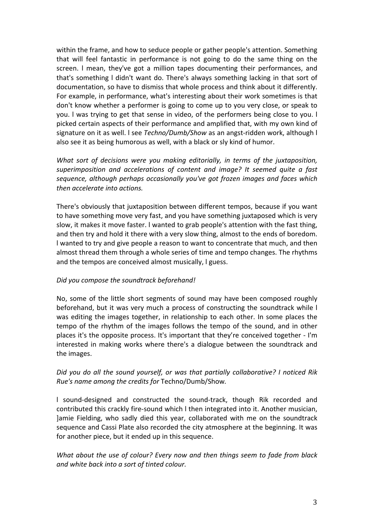within the frame, and how to seduce people or gather people's attention. Something that will feel fantastic in performance is not going to do the same thing on the screen. I mean, they've got a million tapes documenting their performances, and that's something I didn't want do. There's always something lacking in that sort of documentation, so have to dismiss that whole process and think about it differently. For example, in performance, what's interesting about their work sometimes is that don't know whether a performer is going to come up to you very close, or speak to you. I was trying to get that sense in video, of the performers being close to you. I picked certain aspects of their performance and amplified that, with my own kind of signature on it as well. I see *Techno/Dumb/Show* as an angst-ridden work, although I also see it as being humorous as well, with a black or sly kind of humor.

*What sort of decisions were you making editorially, in terms of the juxtaposition, superimposition and accelerations of content and image? It seemed quite a fast sequence, although perhaps occasionally you've got frozen images and faces which then accelerate into actions.*

There's obviously that juxtaposition between different tempos, because if you want to have something move very fast, and you have something juxtaposed which is very slow, it makes it move faster. I wanted to grab people's attention with the fast thing, and then try and hold it there with a very slow thing, almost to the ends of boredom. I wanted to try and give people a reason to want to concentrate that much, and then almost thread them through a whole series of time and tempo changes. The rhythms and the tempos are conceived almost musically, I guess.

### *Did you compose the soundtrack beforehand!*

No, some of the little short segments of sound may have been composed roughly beforehand, but it was very much a process of constructing the soundtrack while I was editing the images together, in relationship to each other. In some places the tempo of the rhythm of the images follows the tempo of the sound, and in other places it's the opposite process. It's important that they're conceived together - I'm interested in making works where there's a dialogue between the soundtrack and the images.

# *Did* you do all the sound yourself, or was that partially collaborative? I noticed Rik *Rue's name among the credits for* Techno/Dumb/Show.

I sound-designed and constructed the sound-track, though Rik recorded and contributed this crackly fire-sound which I then integrated into it. Another musician, ]amie Fielding, who sadly died this year, collaborated with me on the soundtrack sequence and Cassi Plate also recorded the city atmosphere at the beginning. It was for another piece, but it ended up in this sequence.

*What about the use of colour? Every now and then things seem to fade from black and white back into a sort of tinted colour.*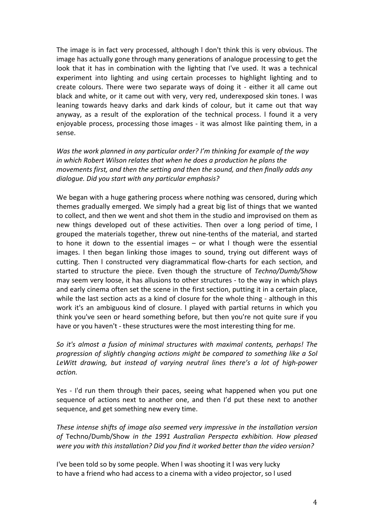The image is in fact very processed, although I don't think this is very obvious. The image has actually gone through many generations of analogue processing to get the look that it has in combination with the lighting that I've used. It was a technical experiment into lighting and using certain processes to highlight lighting and to create colours. There were two separate ways of doing it - either it all came out black and white, or it came out with very, very red, underexposed skin tones. I was leaning towards heavy darks and dark kinds of colour, but it came out that way anyway, as a result of the exploration of the technical process. I found it a very enjoyable process, processing those images - it was almost like painting them, in a sense.

*Was* the work planned in any particular order? I'm thinking for example of the way *in* which Robert Wilson relates that when he does a production he plans the *movements first, and then the setting and then the sound, and then finally adds any* dialogue. Did you start with any particular emphasis?

We began with a huge gathering process where nothing was censored, during which themes gradually emerged. We simply had a great big list of things that we wanted to collect, and then we went and shot them in the studio and improvised on them as new things developed out of these activities. Then over a long period of time, I grouped the materials together, threw out nine-tenths of the material, and started to hone it down to the essential images  $-$  or what I though were the essential images. I then began linking those images to sound, trying out different ways of cutting. Then I constructed very diagrammatical flow-charts for each section, and started to structure the piece. Even though the structure of *Techno/Dumb/Show* may seem very loose, it has allusions to other structures - to the way in which plays and early cinema often set the scene in the first section, putting it in a certain place, while the last section acts as a kind of closure for the whole thing - although in this work it's an ambiguous kind of closure. I played with partial returns in which you think you've seen or heard something before, but then you're not quite sure if you have or you haven't - these structures were the most interesting thing for me.

So it's almost a fusion of minimal structures with maximal contents, perhaps! The *progression of slightly changing actions might be compared to something like a Sol* LeWitt drawing, but instead of varying neutral lines there's a lot of high-power *action.*

Yes - I'd run them through their paces, seeing what happened when you put one sequence of actions next to another one, and then I'd put these next to another sequence, and get something new every time.

These intense shifts of image also seemed very impressive in the installation version *of* Techno/Dumb/Show *in the 1991 Australian Perspecta exhibition. How pleased were you with this installation? Did you find it worked better than the video version?*

I've been told so by some people. When I was shooting it I was very lucky to have a friend who had access to a cinema with a video projector, so I used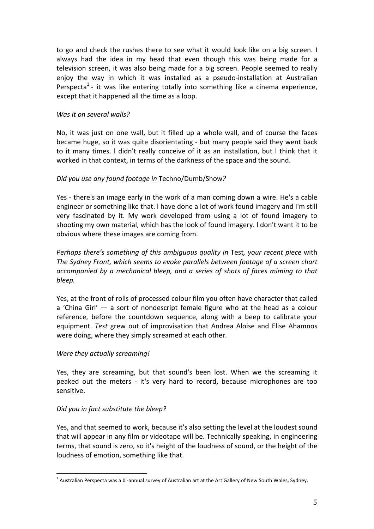to go and check the rushes there to see what it would look like on a big screen. I always had the idea in my head that even though this was being made for a television screen, it was also being made for a big screen. People seemed to really enjoy the way in which it was installed as a pseudo-installation at Australian Perspecta<sup>1</sup> - it was like entering totally into something like a cinema experience, except that it happened all the time as a loop.

### *Was it on several walls?*

No, it was just on one wall, but it filled up a whole wall, and of course the faces became huge, so it was quite disorientating - but many people said they went back to it many times. I didn't really conceive of it as an installation, but I think that it worked in that context, in terms of the darkness of the space and the sound.

# *Did you use any found footage in* Techno/Dumb/Show*?*

Yes - there's an image early in the work of a man coming down a wire. He's a cable engineer or something like that. I have done a lot of work found imagery and I'm still very fascinated by it. My work developed from using a lot of found imagery to shooting my own material, which has the look of found imagery. I don't want it to be obvious where these images are coming from.

*Perhaps there's something of this ambiguous quality in Test, your recent piece with* The Sydney Front, which seems to evoke parallels between footage of a screen chart *accompanied by a mechanical bleep, and a series of shots of faces miming to that bleep.*

Yes, at the front of rolls of processed colour film you often have character that called a 'China Girl'  $-$  a sort of nondescript female figure who at the head as a colour reference, before the countdown sequence, along with a beep to calibrate your equipment. *Test* grew out of improvisation that Andrea Aloise and Elise Ahamnos were doing, where they simply screamed at each other.

### *Were they actually screaming!*

Yes, they are screaming, but that sound's been lost. When we the screaming it peaked out the meters - it's very hard to record, because microphones are too sensitive.

# *Did you in fact substitute the bleep?*

Yes, and that seemed to work, because it's also setting the level at the loudest sound that will appear in any film or videotape will be. Technically speaking, in engineering terms, that sound is zero, so it's height of the loudness of sound, or the height of the loudness of emotion, something like that.

 $<sup>1</sup>$  Australian Perspecta was a bi-annual survey of Australian art at the Art Gallery of New South Wales, Sydney.</sup>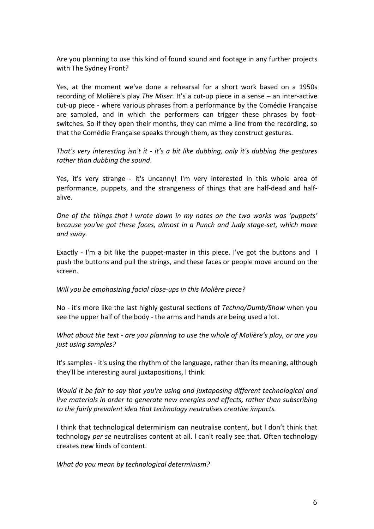Are you planning to use this kind of found sound and footage in any further projects with The Sydney Front?

Yes, at the moment we've done a rehearsal for a short work based on a 1950s recording of Molière's play *The Miser*. It's a cut-up piece in a sense – an inter-active cut-up piece - where various phrases from a performance by the Comédie Française are sampled, and in which the performers can trigger these phrases by footswitches. So if they open their months, they can mime a line from the recording, so that the Comédie Française speaks through them, as they construct gestures.

*That's* very interesting isn't it - it's a bit like dubbing, only it's dubbing the gestures *rather than dubbing the sound.* 

Yes, it's very strange - it's uncanny! I'm very interested in this whole area of performance, puppets, and the strangeness of things that are half-dead and halfalive.

*One* of the things that *l* wrote down in my notes on the two works was 'puppets' *because you've got these faces, almost in a Punch and Judy stage-set, which move and sway.*

Exactly - I'm a bit like the puppet-master in this piece. I've got the buttons and I push the buttons and pull the strings, and these faces or people move around on the screen.

*Will you be emphasizing facial close-ups in this Molière piece?* 

No - it's more like the last highly gestural sections of *Techno/Dumb/Show* when you see the upper half of the body - the arms and hands are being used a lot.

*What about the text - are you planning to use the whole of Molière's play, or are you just using samples?*

It's samples - it's using the rhythm of the language, rather than its meaning, although they'll be interesting aural juxtapositions, I think.

*Would* it be fair to say that you're using and juxtaposing different technological and *live* materials in order to generate new energies and effects, rather than subscribing *to the fairly prevalent idea that technology neutralises creative impacts.* 

I think that technological determinism can neutralise content, but I don't think that technology *per se* neutralises content at all. I can't really see that. Often technology creates new kinds of content.

*What do you mean by technological determinism?*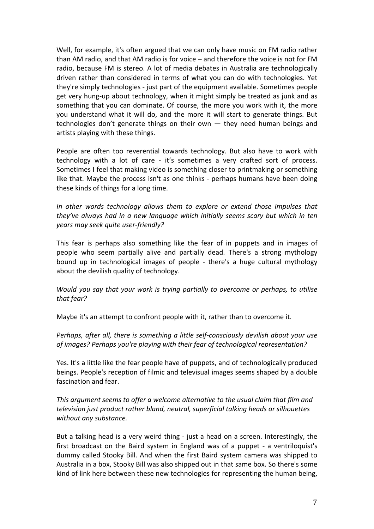Well, for example, it's often argued that we can only have music on FM radio rather than AM radio, and that AM radio is for voice – and therefore the voice is not for FM radio, because FM is stereo. A lot of media debates in Australia are technologically driven rather than considered in terms of what you can do with technologies. Yet they're simply technologies - just part of the equipment available. Sometimes people get very hung-up about technology, when it might simply be treated as junk and as something that you can dominate. Of course, the more you work with it, the more you understand what it will do, and the more it will start to generate things. But technologies don't generate things on their own  $-$  they need human beings and artists playing with these things.

People are often too reverential towards technology. But also have to work with technology with a lot of care - it's sometimes a very crafted sort of process. Sometimes I feel that making video is something closer to printmaking or something like that. Maybe the process isn't as one thinks - perhaps humans have been doing these kinds of things for a long time.

In other words technology allows them to explore or extend those impulses that *they've always had in a new language which initially seems scary but which in ten years may seek quite user-friendly?*

This fear is perhaps also something like the fear of in puppets and in images of people who seem partially alive and partially dead. There's a strong mythology bound up in technological images of people - there's a huge cultural mythology about the devilish quality of technology.

*Would you say that your work is trying partially to overcome or perhaps, to utilise that fear?*

Maybe it's an attempt to confront people with it, rather than to overcome it.

*Perhaps, after all, there is something a little self-consciously devilish about your use* of images? Perhaps you're playing with their fear of technological representation?

Yes. It's a little like the fear people have of puppets, and of technologically produced beings. People's reception of filmic and televisual images seems shaped by a double fascination and fear.

*This argument seems to offer a welcome alternative to the usual claim that film and television just product rather bland, neutral, superficial talking heads or silhouettes* without any substance.

But a talking head is a very weird thing - just a head on a screen. Interestingly, the first broadcast on the Baird system in England was of a puppet - a ventriloquist's dummy called Stooky Bill. And when the first Baird system camera was shipped to Australia in a box, Stooky Bill was also shipped out in that same box. So there's some kind of link here between these new technologies for representing the human being,